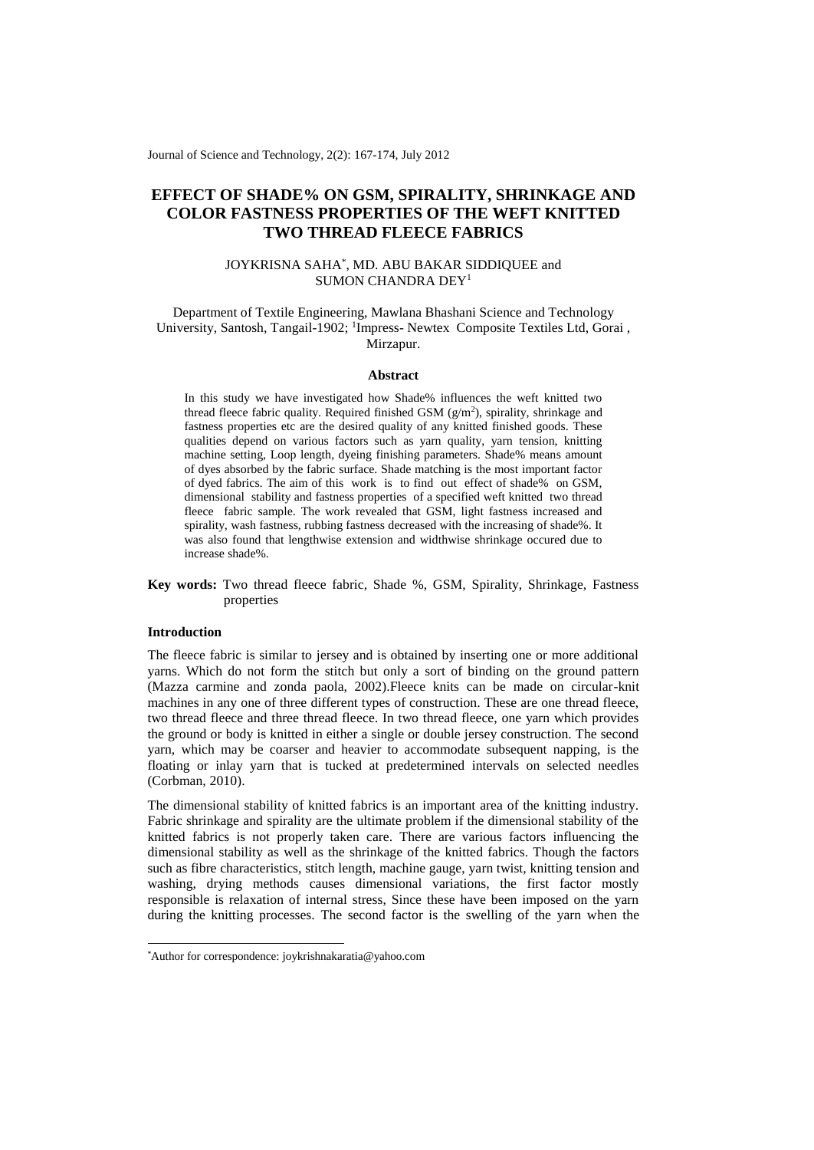Journal of Science and Technology, 2(2): 167-174, July 2012

# **EFFECT OF SHADE% ON GSM, SPIRALITY, SHRINKAGE AND COLOR FASTNESS PROPERTIES OF THE WEFT KNITTED TWO THREAD FLEECE FABRICS**

# JOYKRISNA SAHA\* , MD. ABU BAKAR SIDDIQUEE and SUMON CHANDRA DEY<sup>1</sup>

# Department of Textile Engineering, Mawlana Bhashani Science and Technology University, Santosh, Tangail-1902; <sup>1</sup>Impress- Newtex Composite Textiles Ltd, Gorai, Mirzapur.

### **Abstract**

In this study we have investigated how Shade% influences the weft knitted two thread fleece fabric quality. Required finished GSM  $(g/m^2)$ , spirality, shrinkage and fastness properties etc are the desired quality of any knitted finished goods. These qualities depend on various factors such as yarn quality, yarn tension, knitting machine setting, Loop length, dyeing finishing parameters. Shade% means amount of dyes absorbed by the fabric surface. Shade matching is the most important factor of dyed fabrics. The aim of this work is to find out effect of shade% on GSM, dimensional stability and fastness properties of a specified weft knitted two thread fleece fabric sample. The work revealed that GSM, light fastness increased and spirality, wash fastness, rubbing fastness decreased with the increasing of shade%. It was also found that lengthwise extension and widthwise shrinkage occured due to increase shade%.

# **Key words:** Two thread fleece fabric, Shade %, GSM, Spirality, Shrinkage, Fastness properties

#### **Introduction**

-

The fleece fabric is similar to jersey and is obtained by inserting one or more additional yarns. Which do not form the stitch but only a sort of binding on the ground pattern (Mazza carmine and zonda paola, 2002).Fleece knits can be made on circular-knit machines in any one of three different types of construction. These are one thread fleece, two thread fleece and three thread fleece. In two thread fleece, one yarn which provides the ground or body is knitted in either a single or double jersey construction. The second yarn, which may be coarser and heavier to accommodate subsequent napping, is the floating or inlay yarn that is tucked at predetermined intervals on selected needles (Corbman, 2010).

The dimensional stability of knitted fabrics is an important area of the knitting industry. Fabric shrinkage and spirality are the ultimate problem if the dimensional stability of the knitted fabrics is not properly taken care. There are various factors influencing the dimensional stability as well as the shrinkage of the knitted fabrics. Though the factors such as fibre characteristics, stitch length, machine gauge, yarn twist, knitting tension and washing, drying methods causes dimensional variations, the first factor mostly responsible is relaxation of internal stress, Since these have been imposed on the yarn during the knitting processes. The second factor is the swelling of the yarn when the

<sup>\*</sup>Author for correspondence: joykrishnakaratia@yahoo.com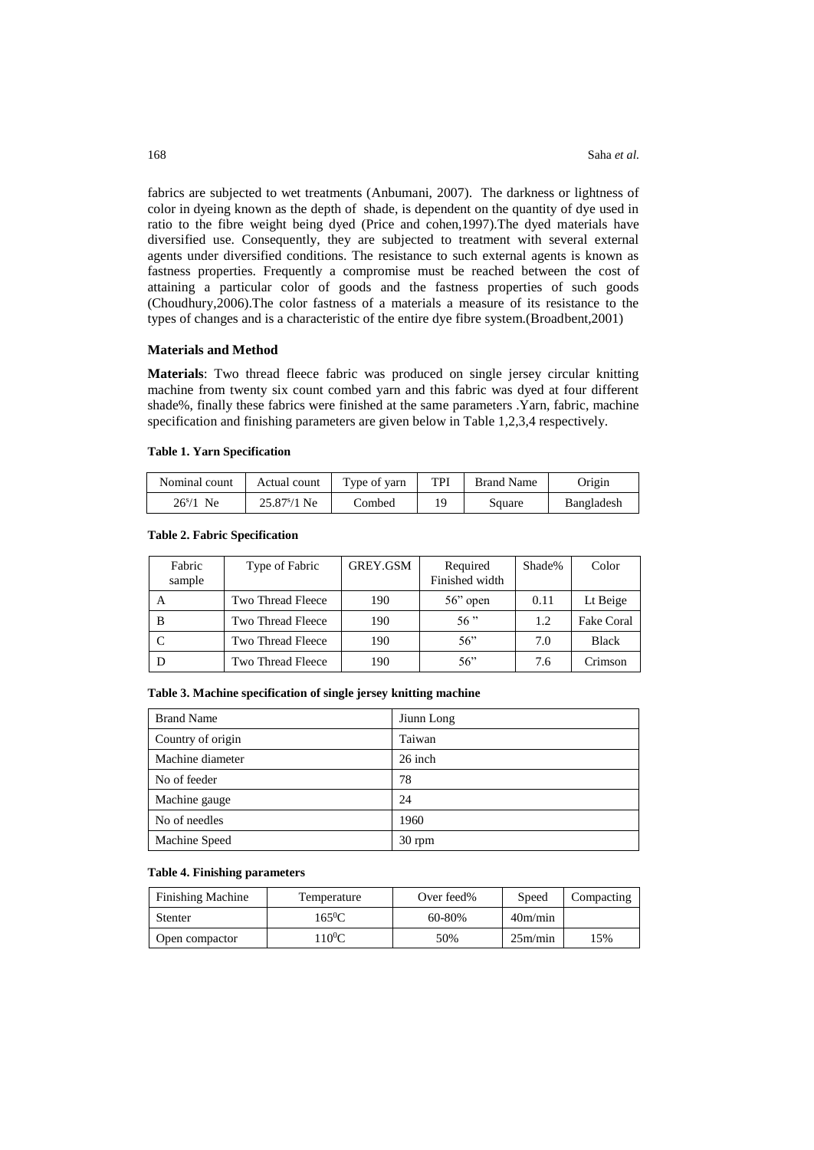fabrics are subjected to wet treatments (Anbumani, 2007). The darkness or lightness of color in dyeing known as the depth of shade, is dependent on the quantity of dye used in ratio to the fibre weight being dyed (Price and cohen,1997).The dyed materials have diversified use. Consequently, they are subjected to treatment with several external agents under diversified conditions. The resistance to such external agents is known as fastness properties. Frequently a compromise must be reached between the cost of attaining a particular color of goods and the fastness properties of such goods (Choudhury,2006).The color fastness of a materials a measure of its resistance to the types of changes and is a characteristic of the entire dye fibre system.(Broadbent,2001)

### **Materials and Method**

**Materials**: Two thread fleece fabric was produced on single jersey circular knitting machine from twenty six count combed yarn and this fabric was dyed at four different shade%, finally these fabrics were finished at the same parameters .Yarn, fabric, machine specification and finishing parameters are given below in Table 1,2,3,4 respectively.

#### **Table 1. Yarn Specification**

| Nominal count. | Actual count          | Type of yarn | TPI | <b>Brand Name</b> | Origin     |
|----------------|-----------------------|--------------|-----|-------------------|------------|
| $26^{s}/1$ Ne  | $25.87\frac{s}{1}$ Ne | Combed       |     | Square            | Bangladesh |

| Fabric<br>sample | Type of Fabric    | GREY.GSM | Required<br>Finished width | Shade% | Color        |
|------------------|-------------------|----------|----------------------------|--------|--------------|
| A                | Two Thread Fleece | 190      | $56$ " open                | 0.11   | Lt Beige     |
| B                | Two Thread Fleece | 190      | 56"                        | 1.2    | Fake Coral   |
|                  | Two Thread Fleece | 190      | 56"                        | 7.0    | <b>Black</b> |
|                  | Two Thread Fleece | 190      | 56"                        | 7.6    | Crimson      |

#### **Table 2. Fabric Specification**

# **Table 3. Machine specification of single jersey knitting machine**

| <b>Brand Name</b> | Jiunn Long |
|-------------------|------------|
| Country of origin | Taiwan     |
| Machine diameter  | 26 inch    |
| No of feeder      | 78         |
| Machine gauge     | 24         |
| No of needles     | 1960       |
| Machine Speed     | $30$ rpm   |

## **Table 4. Finishing parameters**

| <b>Finishing Machine</b> | Temperature | Over feed% | Speed   | Compacting |
|--------------------------|-------------|------------|---------|------------|
| Stenter                  | $165^0C$    | 60-80%     | 40m/min |            |
| Open compactor           | $10^0C$     | 50%        | 25m/min | 15%        |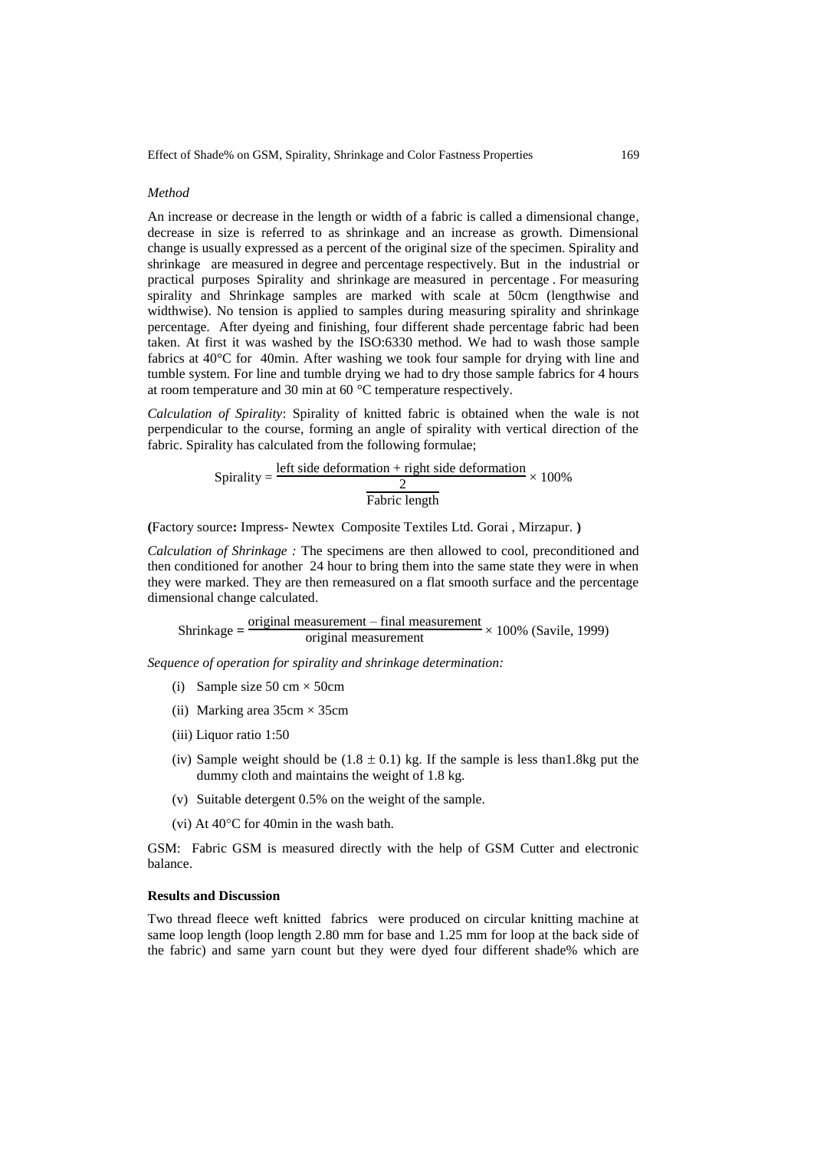## *Method*

An increase or decrease in the length or width of a fabric is called a dimensional change, decrease in size is referred to as shrinkage and an increase as growth. Dimensional change is usually expressed as a percent of the original size of the specimen. Spirality and shrinkage are measured in degree and percentage respectively. But in the industrial or practical purposes Spirality and shrinkage are measured in percentage . For measuring spirality and Shrinkage samples are marked with scale at 50cm (lengthwise and widthwise). No tension is applied to samples during measuring spirality and shrinkage percentage.After dyeing and finishing, four different shade percentage fabric had been taken. At first it was washed by the ISO:6330 method. We had to wash those sample fabrics at 40°C for 40min. After washing we took four sample for drying with line and tumble system. For line and tumble drying we had to dry those sample fabrics for 4 hours at room temperature and 30 min at 60 °C temperature respectively.

*Calculation of Spirality*: Spirality of knitted fabric is obtained when the wale is not perpendicular to the course, forming an angle of spirality with vertical direction of the fabric. Spirality has calculated from the following formulae;

Spring the 
$$
= \frac{\text{left side deformation} + \text{right side deformation}}{2} \times 100\%
$$

\nTable 1: 100%

**(**Factory source**:** Impress- Newtex Composite Textiles Ltd. Gorai , Mirzapur. **)**

*Calculation of Shrinkage :* The specimens are then allowed to cool, preconditioned and then conditioned for another 24 hour to bring them into the same state they were in when they were marked. They are then remeasured on a flat smooth surface and the percentage dimensional change calculated.

 $\text{Shrinkage} = \frac{\text{original measurement} - \text{final measurement}}{\text{original measurement}} \times 100\% \text{ (Savile, 1999)}$ 

*Sequence of operation for spirality and shrinkage determination:*

- (i) Sample size  $50 \text{ cm} \times 50 \text{ cm}$
- (ii) Marking area  $35cm \times 35cm$
- (iii) Liquor ratio 1:50
- (iv) Sample weight should be  $(1.8 \pm 0.1)$  kg. If the sample is less than 1.8kg put the dummy cloth and maintains the weight of 1.8 kg.
- (v) Suitable detergent 0.5% on the weight of the sample.
- (vi) At  $40^{\circ}$ C for 40min in the wash bath.

GSM: Fabric GSM is measured directly with the help of GSM Cutter and electronic balance.

### **Results and Discussion**

Two thread fleece weft knitted fabrics were produced on circular knitting machine at same loop length (loop length 2.80 mm for base and 1.25 mm for loop at the back side of the fabric) and same yarn count but they were dyed four different shade% which are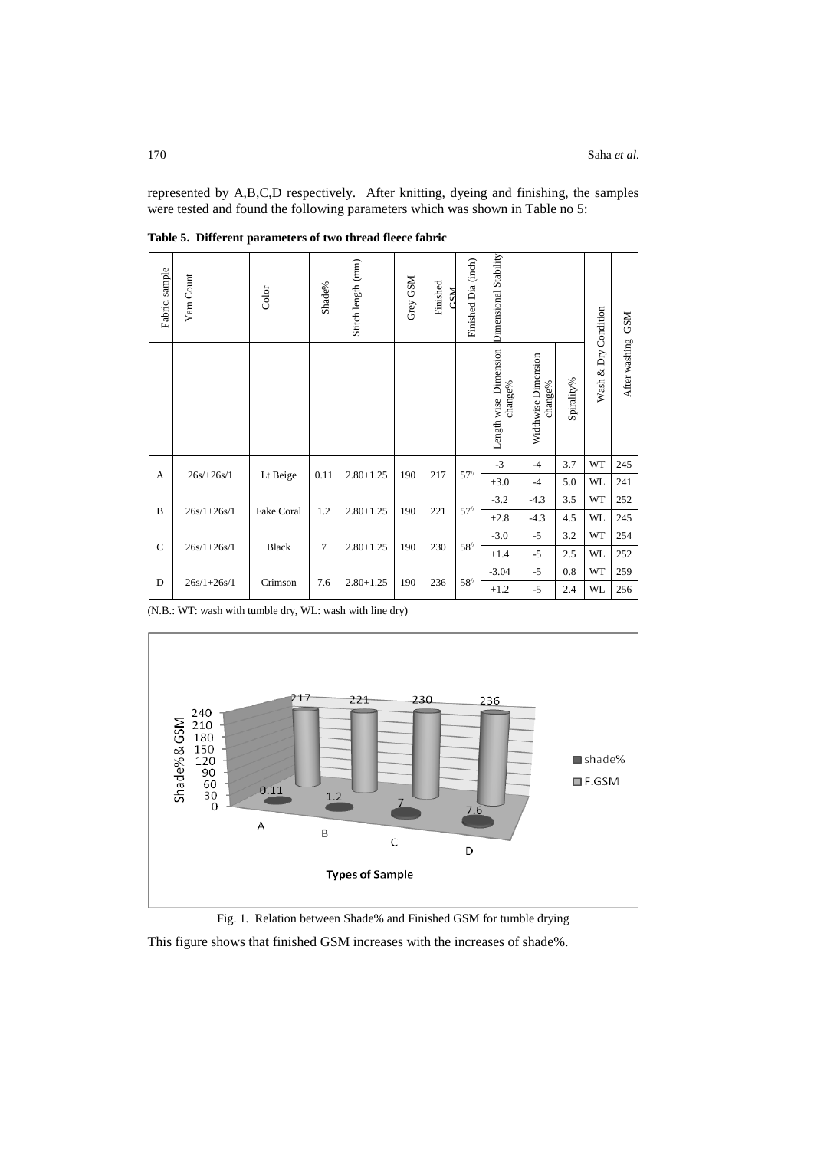represented by A,B,C,D respectively. After knitting, dyeing and finishing, the samples were tested and found the following parameters which was shown in Table no 5:

| Fabric. sample | Yam Count       | Color        | Shade%         | Stitch length (mm) | Grey GSM | Finished<br><b>NSL</b> | Finished Dia (inch) | <b>Dimensional Stability</b>     |                                |            | Condition  | <b>GSM</b>    |
|----------------|-----------------|--------------|----------------|--------------------|----------|------------------------|---------------------|----------------------------------|--------------------------------|------------|------------|---------------|
|                |                 |              |                |                    |          |                        |                     | Length wise Dimension<br>change% | Widthwise Dimension<br>change% | Spirality% | Wash & Dry | After washing |
|                |                 |              |                |                    |          |                        |                     | $-3$                             | $-4$                           | 3.7        | WT         | 245           |
| A              | $26s/+26s/1$    | Lt Beige     | 0.11           | $2.80 + 1.25$      | 190      | 217                    | 57''                | $+3.0$                           | $-4$                           | 5.0        | <b>WL</b>  | 241           |
|                |                 |              |                |                    |          |                        |                     | $-3.2$                           | $-4.3$                         | 3.5        | WT         | 252           |
| B              | $26s/1 + 26s/1$ | Fake Coral   | 1.2            | $2.80 + 1.25$      | 190      | 221                    | 57''                | $+2.8$                           | $-4.3$                         | 4.5        | <b>WL</b>  | 245           |
|                |                 |              |                |                    |          |                        |                     | $-3.0$                           | $-5$                           | 3.2        | WT         | 254           |
| $\mathbf C$    | $26s/1 + 26s/1$ | <b>Black</b> | $\overline{7}$ | $2.80 + 1.25$      | 190      | 230                    | 58''                | $+1.4$                           | $-5$                           | 2.5        | <b>WL</b>  | 252           |
|                |                 |              |                |                    |          |                        |                     | $-3.04$                          | $-5$                           | 0.8        | WT         | 259           |
| D              | $26s/1 + 26s/1$ | Crimson      | 7.6            | $2.80 + 1.25$      | 190      | 236                    | 58''                | $+1.2$                           | $-5$                           | 2.4        | <b>WL</b>  | 256           |

**Table 5. Different parameters of two thread fleece fabric**

(N.B.: WT: wash with tumble dry, WL: wash with line dry)





This figure shows that finished GSM increases with the increases of shade%.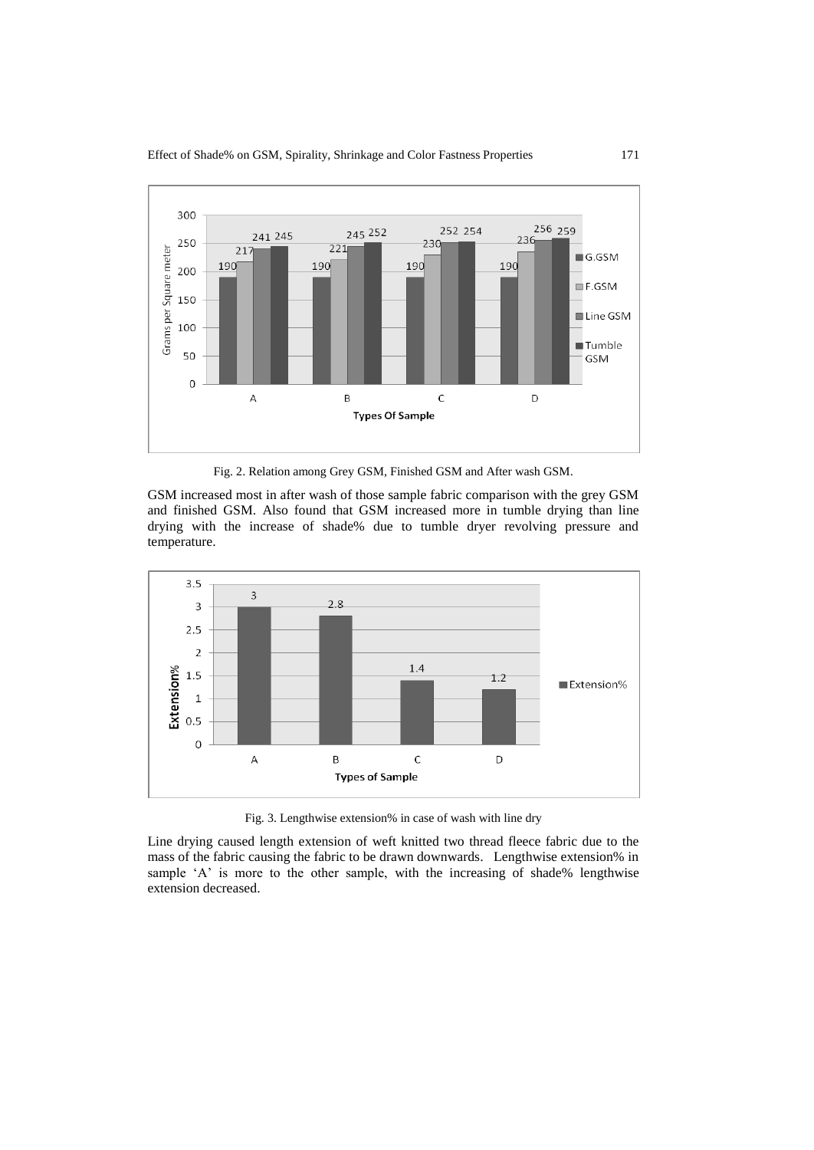Effect of Shade% on GSM, Spirality, Shrinkage and Color Fastness Properties 171



Fig. 2. Relation among Grey GSM, Finished GSM and After wash GSM.

GSM increased most in after wash of those sample fabric comparison with the grey GSM and finished GSM. Also found that GSM increased more in tumble drying than line drying with the increase of shade% due to tumble dryer revolving pressure and temperature.



Fig. 3. Lengthwise extension% in case of wash with line dry

Line drying caused length extension of weft knitted two thread fleece fabric due to the mass of the fabric causing the fabric to be drawn downwards. Lengthwise extension% in sample 'A' is more to the other sample, with the increasing of shade% lengthwise extension decreased.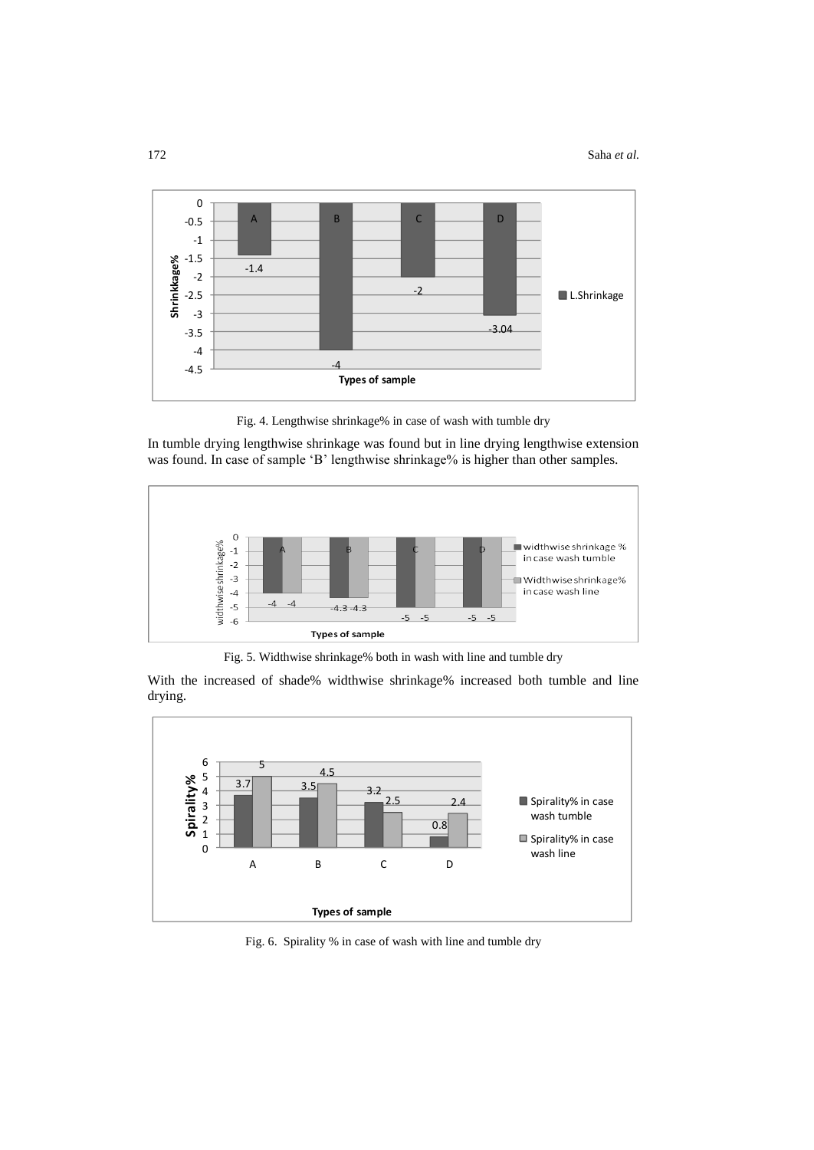

Fig. 4. Lengthwise shrinkage% in case of wash with tumble dry

In tumble drying lengthwise shrinkage was found but in line drying lengthwise extension was found. In case of sample 'B' lengthwise shrinkage% is higher than other samples.



Fig. 5. Widthwise shrinkage% both in wash with line and tumble dry

With the increased of shade% widthwise shrinkage% increased both tumble and line drying.



Fig. 6. Spirality % in case of wash with line and tumble dry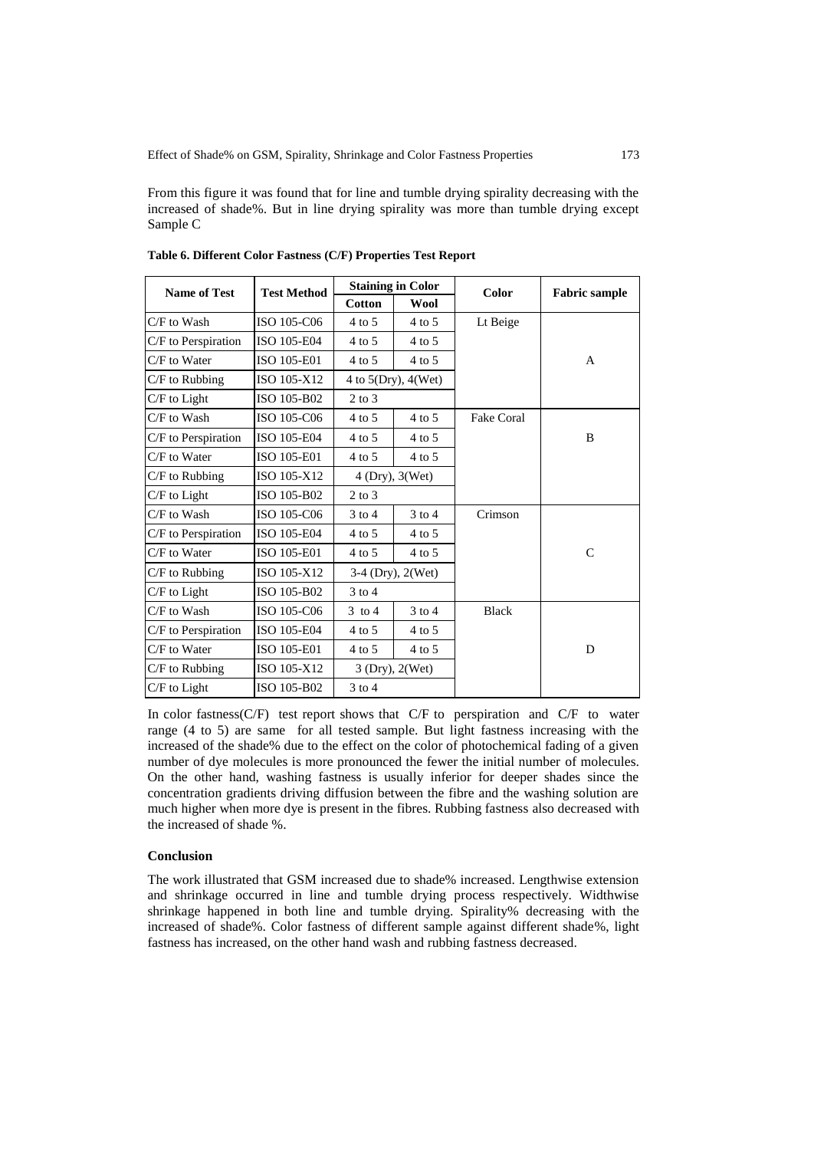From this figure it was found that for line and tumble drying spirality decreasing with the increased of shade%. But in line drying spirality was more than tumble drying except Sample C

| <b>Name of Test</b> | <b>Test Method</b> |                               | <b>Staining in Color</b> | Color        | <b>Fabric sample</b> |  |
|---------------------|--------------------|-------------------------------|--------------------------|--------------|----------------------|--|
|                     |                    | <b>Cotton</b>                 | <b>Wool</b>              |              |                      |  |
| C/F to Wash         | ISO 105-C06        | $4$ to 5                      | $4$ to 5                 | Lt Beige     |                      |  |
| C/F to Perspiration | ISO 105-E04        | $4$ to 5                      | $4$ to 5                 |              |                      |  |
| C/F to Water        | ISO 105-E01        | $4 \text{ to } 5$<br>$4$ to 5 |                          |              | A                    |  |
| $C/F$ to Rubbing    | ISO 105-X12        |                               | 4 to $5(Dry)$ , $4(Wet)$ |              |                      |  |
| $C/F$ to Light      | ISO 105-B02        | $2$ to $3$                    |                          |              |                      |  |
| C/F to Wash         | ISO 105-C06        | $4$ to 5                      | $4$ to 5                 | Fake Coral   |                      |  |
| C/F to Perspiration | ISO 105-E04        | $4$ to 5                      | $4$ to 5                 |              | B                    |  |
| C/F to Water        | ISO 105-E01        | $4$ to 5                      | $4$ to 5                 |              |                      |  |
| $C/F$ to Rubbing    | ISO 105-X12        | 4 (Dry), 3(Wet)               |                          |              |                      |  |
| $C/F$ to Light      | ISO 105-B02        | $2$ to $3$                    |                          |              |                      |  |
| C/F to Wash         | ISO 105-C06        | $3$ to 4                      | $3$ to $4$               | Crimson      |                      |  |
| C/F to Perspiration | ISO 105-E04        | $4$ to 5                      | $4$ to 5                 |              |                      |  |
| C/F to Water        | ISO 105-E01        | $4$ to 5                      | $4$ to 5                 |              | $\mathcal{C}$        |  |
| $C/F$ to Rubbing    | ISO 105-X12        |                               | $3-4$ (Dry), $2$ (Wet)   |              |                      |  |
| $C/F$ to Light      | ISO 105-B02        | $3$ to $4$                    |                          |              |                      |  |
| C/F to Wash         | ISO 105-C06        | $3 \text{ to } 4$             | $3$ to $4$               | <b>Black</b> |                      |  |
| C/F to Perspiration | ISO 105-E04        | $4$ to 5                      | $4$ to 5                 |              |                      |  |
| $C/F$ to Water      | ISO 105-E01        | $4$ to 5                      | $4 \text{ to } 5$        |              | D                    |  |
| $C/F$ to Rubbing    | ISO 105-X12        | 3 (Dry), 2(Wet)               |                          |              |                      |  |
| C/F to Light        | ISO 105-B02        | $3$ to $4$                    |                          |              |                      |  |

**Table 6. Different Color Fastness (C/F) Properties Test Report** 

In color fastness(C/F) test report shows that C/F to perspiration and C/F to water range (4 to 5) are same for all tested sample. But light fastness increasing with the increased of the shade% due to the effect on the color of photochemical fading of a given number of dye molecules is more pronounced the fewer the initial number of molecules. On the other hand, washing fastness is usually inferior for deeper shades since the concentration gradients driving diffusion between the fibre and the washing solution are much higher when more dye is present in the fibres. Rubbing fastness also decreased with the increased of shade %.

# **Conclusion**

The work illustrated that GSM increased due to shade% increased. Lengthwise extension and shrinkage occurred in line and tumble drying process respectively. Widthwise shrinkage happened in both line and tumble drying. Spirality% decreasing with the increased of shade%. Color fastness of different sample against different shade%, light fastness has increased, on the other hand wash and rubbing fastness decreased.